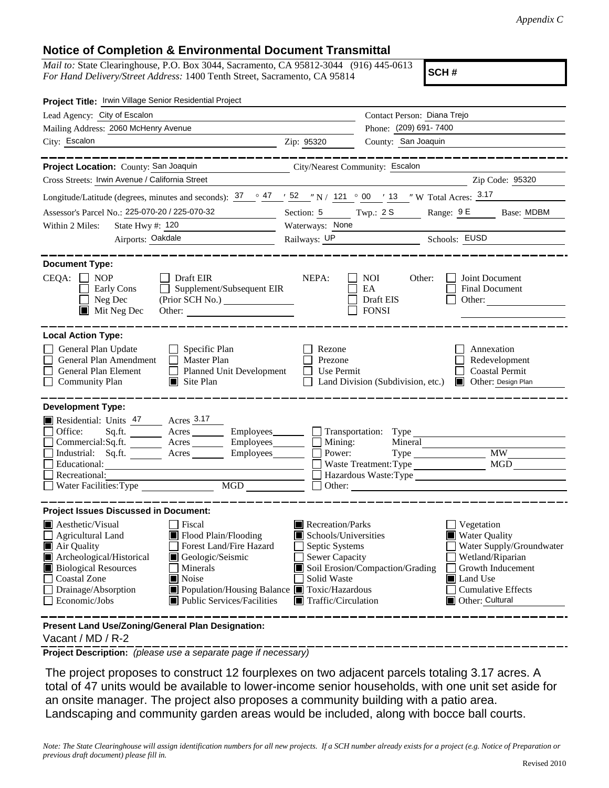## **Notice of Completion & Environmental Document Transmittal**

*Mail to:* State Clearinghouse, P.O. Box 3044, Sacramento, CA 95812-3044 (916) 445-0613 *For Hand Delivery/Street Address:* 1400 Tenth Street, Sacramento, CA 95814

**SCH #**

| Project Title: Irwin Village Senior Residential Project                                                                                                                                                                                                                                                                                                                                             |                                            |                                                                                                                                                  |                                   |                                                                        |                                                                                                |  |
|-----------------------------------------------------------------------------------------------------------------------------------------------------------------------------------------------------------------------------------------------------------------------------------------------------------------------------------------------------------------------------------------------------|--------------------------------------------|--------------------------------------------------------------------------------------------------------------------------------------------------|-----------------------------------|------------------------------------------------------------------------|------------------------------------------------------------------------------------------------|--|
| Lead Agency: City of Escalon                                                                                                                                                                                                                                                                                                                                                                        |                                            |                                                                                                                                                  | Contact Person: Diana Trejo       |                                                                        |                                                                                                |  |
| Mailing Address: 2060 McHenry Avenue                                                                                                                                                                                                                                                                                                                                                                |                                            |                                                                                                                                                  | Phone: (209) 691-7400             |                                                                        |                                                                                                |  |
| City: Escalon<br><u> 1989 - Johann Barn, fransk politik (d. 1989)</u>                                                                                                                                                                                                                                                                                                                               |                                            | Zip: 95320                                                                                                                                       | County: San Joaquin               |                                                                        |                                                                                                |  |
| _______                                                                                                                                                                                                                                                                                                                                                                                             |                                            |                                                                                                                                                  |                                   | ______________                                                         |                                                                                                |  |
| Project Location: County: San Joaquin                                                                                                                                                                                                                                                                                                                                                               |                                            |                                                                                                                                                  | City/Nearest Community: Escalon   |                                                                        |                                                                                                |  |
| Cross Streets: Irwin Avenue / California Street                                                                                                                                                                                                                                                                                                                                                     |                                            |                                                                                                                                                  |                                   |                                                                        | Zip Code: 95320                                                                                |  |
| Longitude/Latitude (degrees, minutes and seconds): $37 \degree$ $47 \degree$ $52 \degree$ N / $121 \degree$ 00 $\degree$ 13 $\degree$ W Total Acres: $3.17$                                                                                                                                                                                                                                         |                                            |                                                                                                                                                  |                                   |                                                                        |                                                                                                |  |
| Assessor's Parcel No.: 225-070-20 / 225-070-32                                                                                                                                                                                                                                                                                                                                                      |                                            |                                                                                                                                                  |                                   | Section: 5 Twp.: 2S Range: 9E Base: MDBM                               |                                                                                                |  |
| Within 2 Miles:<br>State Hwy #: 120                                                                                                                                                                                                                                                                                                                                                                 |                                            | Waterways: None                                                                                                                                  |                                   |                                                                        |                                                                                                |  |
| Airports: Oakdale                                                                                                                                                                                                                                                                                                                                                                                   |                                            | Railways: UP Schools: EUSD                                                                                                                       |                                   |                                                                        |                                                                                                |  |
| <b>Document Type:</b><br>$CEQA: \Box NP$<br>$\Box$ Draft EIR<br>NEPA:<br>Other:<br>Joint Document<br>NOI<br>$\Box$ Supplement/Subsequent EIR<br>EA<br>Final Document<br>Early Cons<br>Neg Dec<br>Draft EIS<br>Other:<br>$\blacksquare$<br>$\blacksquare$ Mit Neg Dec<br><b>FONSI</b><br>Other:                                                                                                      |                                            |                                                                                                                                                  |                                   |                                                                        |                                                                                                |  |
| <b>Local Action Type:</b><br>General Plan Update<br>$\Box$ Specific Plan<br>General Plan Amendment<br>$\Box$ Master Plan<br>General Plan Element<br>Planned Unit Development<br><b>Community Plan</b><br>$\blacksquare$ Site Plan                                                                                                                                                                   |                                            | Rezone<br>Prezone<br>Use Permit<br>$\perp$                                                                                                       | Land Division (Subdivision, etc.) |                                                                        | Annexation<br>Redevelopment<br><b>Coastal Permit</b><br>Other: Design Plan                     |  |
| <b>Development Type:</b><br>Residential: Units 47 Acres 3.17<br>Sq.ft. ________ Acres _________ Employees ________ __ Transportation: Type ___________<br>Office:<br>Commercial:Sq.ft. ________ Acres _________ Employees _______ $\Box$<br>Industrial: Sq.ft. _______ Acres ________ Employees_______<br>Educational:<br>Recreational:<br>Water Facilities: Type MGD                               |                                            | Mining:<br>Power:                                                                                                                                | Mineral                           | Type<br>Waste Treatment: Type<br>Hazardous Waste:Type<br>$\Box$ Other: | MW<br>MGD                                                                                      |  |
| <b>Project Issues Discussed in Document:</b><br>$\blacksquare$ Aesthetic/Visual<br>  Fiscal<br>$\Box$ Agricultural Land<br>Flood Plain/Flooding<br>Forest Land/Fire Hazard<br>Air Quality<br>Geologic/Seismic<br>Archeological/Historical<br><b>Biological Resources</b><br>Minerals<br><b>Coastal Zone</b><br><b>■</b> Noise<br>Drainage/Absorption<br>Economic/Jobs<br>Public Services/Facilities | Population/Housing Balance Toxic/Hazardous | $\blacksquare$ Recreation/Parks<br>Schools/Universities<br>Septic Systems<br>Sewer Capacity<br>Solid Waste<br>$\blacksquare$ Traffic/Circulation | Soil Erosion/Compaction/Grading   | Vegetation<br>■ Water Quality<br>Land Use<br>Other: Cultural           | Water Supply/Groundwater<br>Wetland/Riparian<br>Growth Inducement<br><b>Cumulative Effects</b> |  |
| Present Land Use/Zoning/General Plan Designation:                                                                                                                                                                                                                                                                                                                                                   |                                            |                                                                                                                                                  |                                   |                                                                        |                                                                                                |  |

Vacant / MD / R-2

**Project Description:** *(please use a separate page if necessary)*

 The project proposes to construct 12 fourplexes on two adjacent parcels totaling 3.17 acres. A total of 47 units would be available to lower-income senior households, with one unit set aside for an onsite manager. The project also proposes a community building with a patio area. Landscaping and community garden areas would be included, along with bocce ball courts.

*Note: The State Clearinghouse will assign identification numbers for all new projects. If a SCH number already exists for a project (e.g. Notice of Preparation or previous draft document) please fill in.*